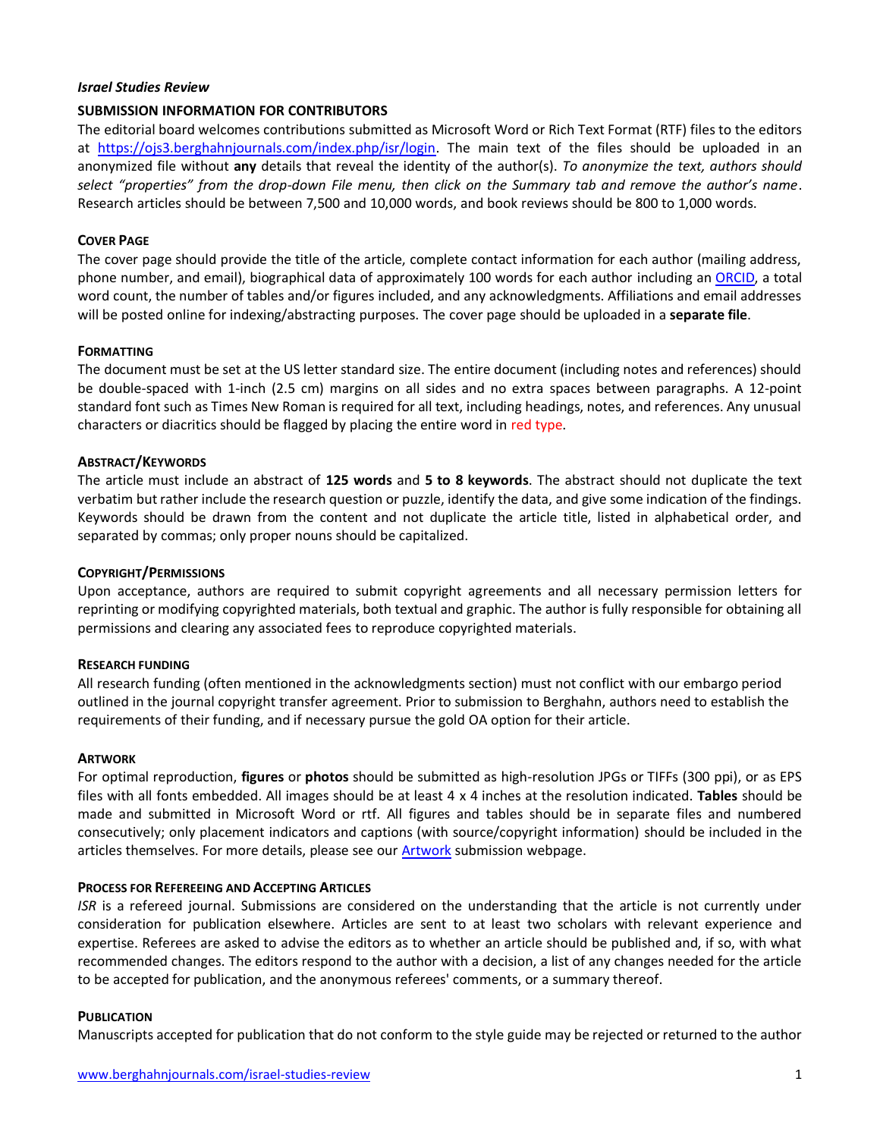### *Israel Studies Review*

### **SUBMISSION INFORMATION FOR CONTRIBUTORS**

The editorial board welcomes contributions submitted as Microsoft Word or Rich Text Format (RTF) files to the editors at [https://ojs3.berghahnjournals.com/index.php/isr/login.](https://ojs3.berghahnjournals.com/index.php/isr/login) The main text of the files should be uploaded in an anonymized file without **any** details that reveal the identity of the author(s). *To anonymize the text, authors should select "properties" from the drop-down File menu, then click on the Summary tab and remove the author's name*. Research articles should be between 7,500 and 10,000 words, and book reviews should be 800 to 1,000 words.

### **COVER PAGE**

The cover page should provide the title of the article, complete contact information for each author (mailing address, phone number, and email), biographical data of approximately 100 words for each author including a[n ORCID,](https://orcid.org/) a total word count, the number of tables and/or figures included, and any acknowledgments. Affiliations and email addresses will be posted online for indexing/abstracting purposes. The cover page should be uploaded in a **separate file**.

### **FORMATTING**

The document must be set at the US letter standard size. The entire document (including notes and references) should be double-spaced with 1-inch (2.5 cm) margins on all sides and no extra spaces between paragraphs. A 12-point standard font such as Times New Roman is required for all text, including headings, notes, and references. Any unusual characters or diacritics should be flagged by placing the entire word in red type.

### **ABSTRACT/KEYWORDS**

The article must include an abstract of **125 words** and **5 to 8 keywords**. The abstract should not duplicate the text verbatim but rather include the research question or puzzle, identify the data, and give some indication of the findings. Keywords should be drawn from the content and not duplicate the article title, listed in alphabetical order, and separated by commas; only proper nouns should be capitalized.

### **COPYRIGHT/PERMISSIONS**

Upon acceptance, authors are required to submit copyright agreements and all necessary permission letters for reprinting or modifying copyrighted materials, both textual and graphic. The author is fully responsible for obtaining all permissions and clearing any associated fees to reproduce copyrighted materials.

### **RESEARCH FUNDING**

All research funding (often mentioned in the acknowledgments section) must not conflict with our embargo period outlined in the journal copyright transfer agreement. Prior to submission to Berghahn, authors need to establish the requirements of their funding, and if necessary pursue the gold OA option for their article.

### **ARTWORK**

For optimal reproduction, **figures** or **photos** should be submitted as high-resolution JPGs or TIFFs (300 ppi), or as EPS files with all fonts embedded. All images should be at least 4 x 4 inches at the resolution indicated. **Tables** should be made and submitted in Microsoft Word or rtf. All figures and tables should be in separate files and numbered consecutively; only placement indicators and captions (with source/copyright information) should be included in the articles themselves. For more details, please see our **Artwork** submission webpage.

### **PROCESS FOR REFEREEING AND ACCEPTING ARTICLES**

*ISR* is a refereed journal. Submissions are considered on the understanding that the article is not currently under consideration for publication elsewhere. Articles are sent to at least two scholars with relevant experience and expertise. Referees are asked to advise the editors as to whether an article should be published and, if so, with what recommended changes. The editors respond to the author with a decision, a list of any changes needed for the article to be accepted for publication, and the anonymous referees' comments, or a summary thereof.

### **PUBLICATION**

Manuscripts accepted for publication that do not conform to the style guide may be rejected or returned to the author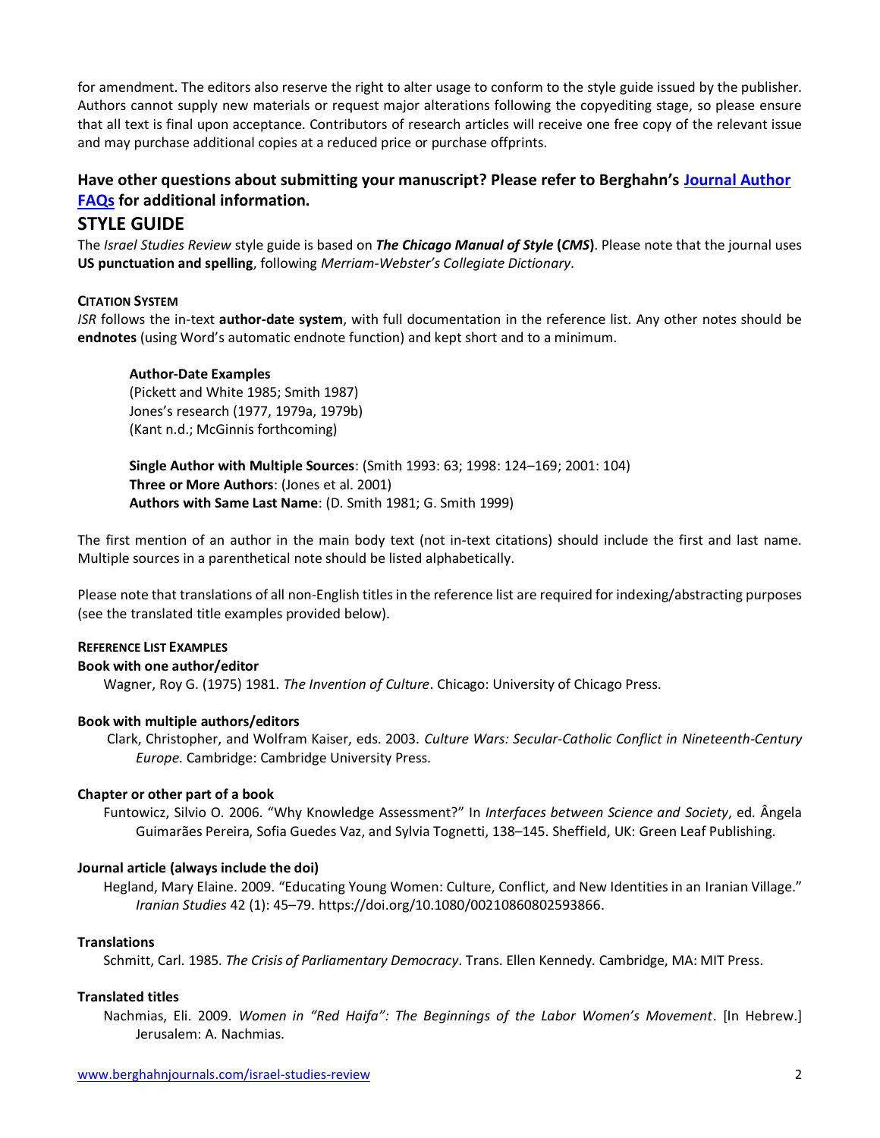for amendment. The editors also reserve the right to alter usage to conform to the style guide issued by the publisher. Authors cannot supply new materials or request major alterations following the copyediting stage, so please ensure that all text is final upon acceptance. Contributors of research articles will receive one free copy of the relevant issue and may purchase additional copies at a reduced price or purchase offprints.

# **Have other questions about submitting your manuscript? Please refer to Berghahn's [Journal Author](https://www.berghahnjournals.com/page/journal-author-faqs)  [FAQs](https://www.berghahnjournals.com/page/journal-author-faqs) for additional information.**

# **STYLE GUIDE**

The *Israel Studies Review* style guide is based on *The Chicago Manual of Style* **(***CMS***)**. Please note that the journal uses **US punctuation and spelling**, following *Merriam-Webster's Collegiate Dictionary*.

### **CITATION SYSTEM**

*ISR* follows the in-text **author-date system**, with full documentation in the reference list. Any other notes should be **endnotes** (using Word's automatic endnote function) and kept short and to a minimum.

### **Author-Date Examples**

(Pickett and White 1985; Smith 1987) Jones's research (1977, 1979a, 1979b) (Kant n.d.; McGinnis forthcoming)

**Single Author with Multiple Sources**: (Smith 1993: 63; 1998: 124–169; 2001: 104) **Three or More Authors**: (Jones et al. 2001) **Authors with Same Last Name**: (D. Smith 1981; G. Smith 1999)

The first mention of an author in the main body text (not in-text citations) should include the first and last name. Multiple sources in a parenthetical note should be listed alphabetically.

Please note that translations of all non-English titles in the reference list are required for indexing/abstracting purposes (see the translated title examples provided below).

### **REFERENCE LIST EXAMPLES**

### **Book with one author/editor**

Wagner, Roy G. (1975) 1981. *The Invention of Culture*. Chicago: University of Chicago Press.

## **Book with multiple authors/editors**

Clark, Christopher, and Wolfram Kaiser, eds. 2003. *Culture Wars: Secular-Catholic Conflict in Nineteenth-Century Europe*. Cambridge: Cambridge University Press.

### **Chapter or other part of a book**

Funtowicz, Silvio O. 2006. "Why Knowledge Assessment?" In *Interfaces between Science and Society*, ed. Ângela Guimarães Pereira, Sofia Guedes Vaz, and Sylvia Tognetti, 138–145. Sheffield, UK: Green Leaf Publishing.

### **Journal article (always include the doi)**

Hegland, Mary Elaine. 2009. "Educating Young Women: Culture, Conflict, and New Identities in an Iranian Village." *Iranian Studies* 42 (1): 45–79. https://doi.org/10.1080/00210860802593866.

### **Translations**

Schmitt, Carl. 1985. *The Crisis of Parliamentary Democracy*. Trans. Ellen Kennedy. Cambridge, MA: MIT Press.

### **Translated titles**

Nachmias, Eli. 2009. *Women in "Red Haifa": The Beginnings of the Labor Women's Movement*. [In Hebrew.] Jerusalem: A. Nachmias.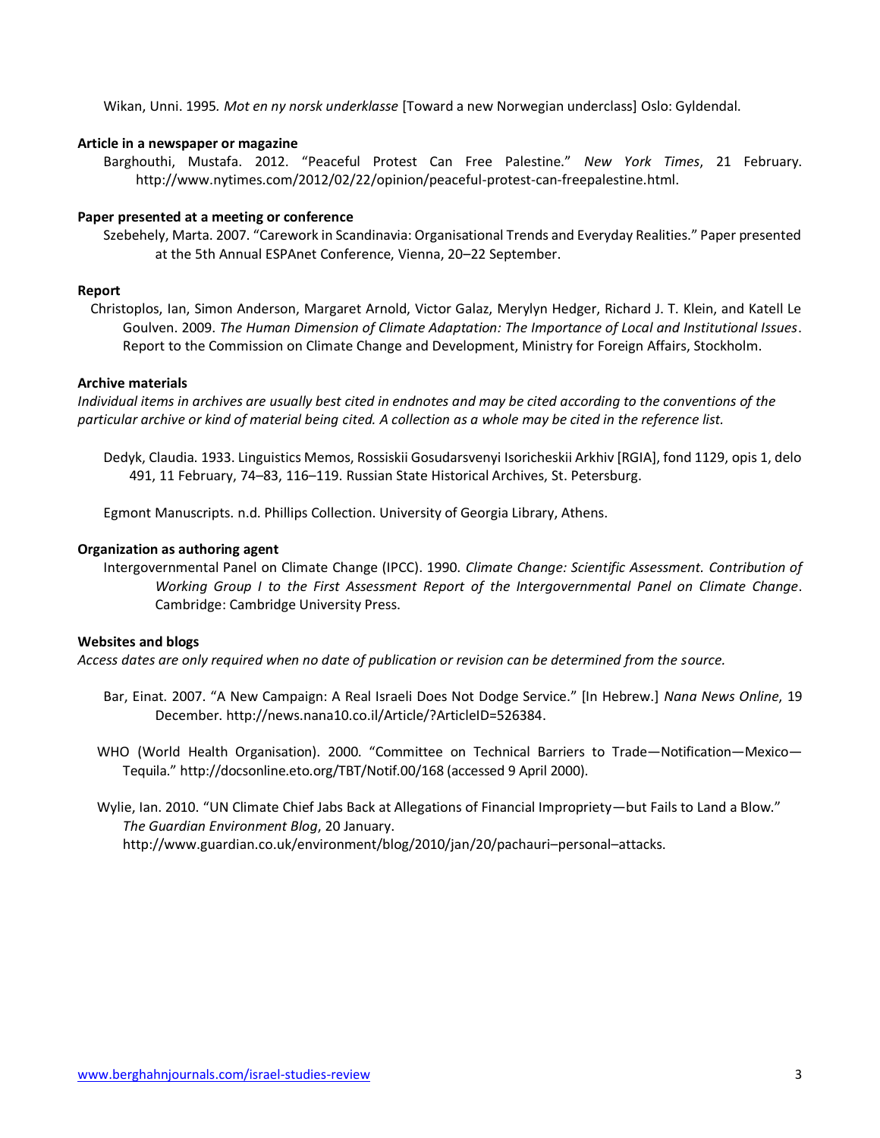Wikan, Unni. 1995*. Mot en ny norsk underklasse* [Toward a new Norwegian underclass] Oslo: Gyldendal.

### **Article in a newspaper or magazine**

Barghouthi, Mustafa. 2012. "Peaceful Protest Can Free Palestine." *New York Times*, 21 February. http://www.nytimes.com/2012/02/22/opinion/peaceful-protest-can-freepalestine.html.

#### **Paper presented at a meeting or conference**

Szebehely, Marta. 2007. "Carework in Scandinavia: Organisational Trends and Everyday Realities." Paper presented at the 5th Annual ESPAnet Conference, Vienna, 20–22 September.

#### **Report**

Christoplos, Ian, Simon Anderson, Margaret Arnold, Victor Galaz, Merylyn Hedger, Richard J. T. Klein, and Katell Le Goulven. 2009. *The Human Dimension of Climate Adaptation: The Importance of Local and Institutional Issues*. Report to the Commission on Climate Change and Development, Ministry for Foreign Affairs, Stockholm.

#### **Archive materials**

*Individual items in archives are usually best cited in endnotes and may be cited according to the conventions of the particular archive or kind of material being cited. A collection as a whole may be cited in the reference list.*

Dedyk, Claudia. 1933. Linguistics Memos, Rossiskii Gosudarsvenyi Isoricheskii Arkhiv [RGIA], fond 1129, opis 1, delo 491, 11 February, 74–83, 116–119. Russian State Historical Archives, St. Petersburg.

Egmont Manuscripts. n.d. Phillips Collection. University of Georgia Library, Athens.

#### **Organization as authoring agent**

Intergovernmental Panel on Climate Change (IPCC). 1990. *Climate Change: Scientific Assessment. Contribution of Working Group I to the First Assessment Report of the Intergovernmental Panel on Climate Change*. Cambridge: Cambridge University Press.

#### **Websites and blogs**

*Access dates are only required when no date of publication or revision can be determined from the source.*

- Bar, Einat. 2007. "A New Campaign: A Real Israeli Does Not Dodge Service." [In Hebrew.] *Nana News Online*, 19 December. http://news.nana10.co.il/Article/?ArticleID=526384.
- WHO (World Health Organisation). 2000. "Committee on Technical Barriers to Trade—Notification—Mexico— Tequila." http://docsonline.eto.org/TBT/Notif.00/168 (accessed 9 April 2000).
- Wylie, Ian. 2010. "UN Climate Chief Jabs Back at Allegations of Financial Impropriety—but Fails to Land a Blow." *The Guardian Environment Blog*, 20 January. http://www.guardian.co.uk/environment/blog/2010/jan/20/pachauri–personal–attacks.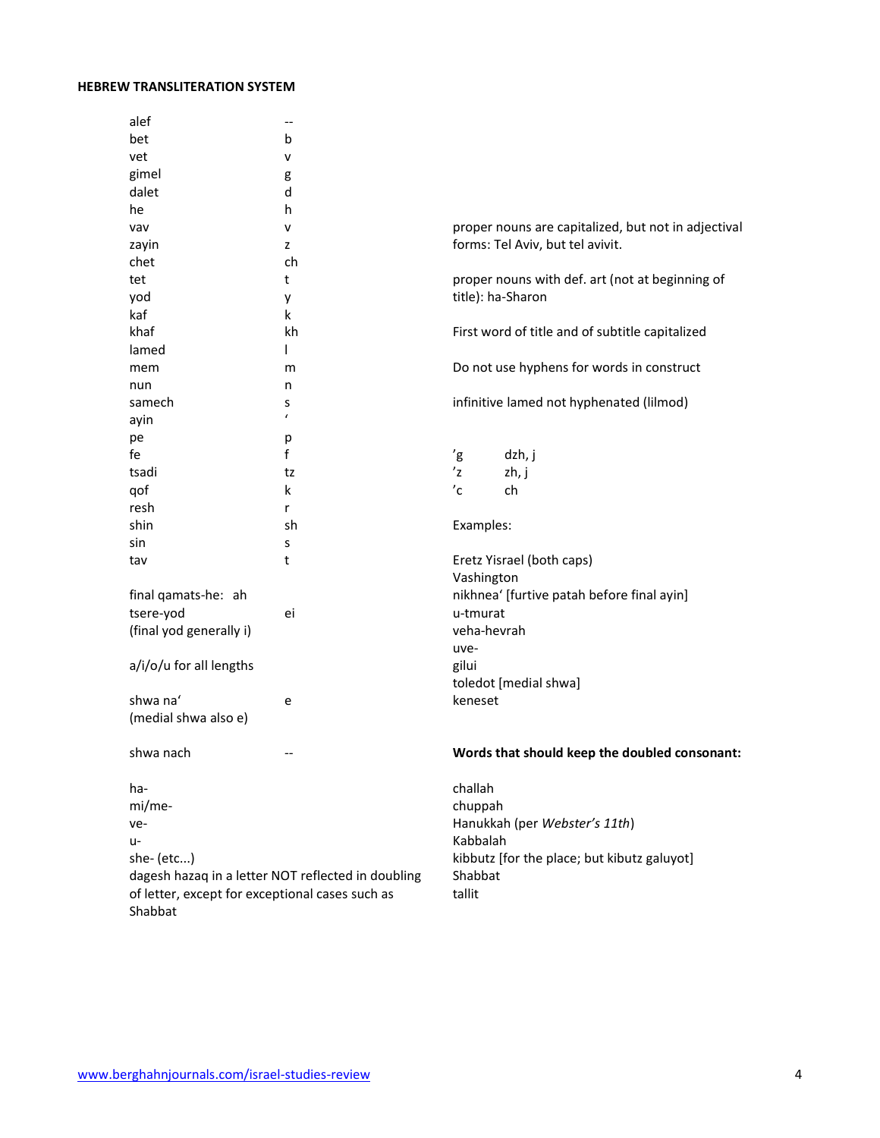#### **HEBREW TRANSLITERATION SYSTEM**

|                                                                                                                     | alef                    | --         |                                                                      |                                                     |        |
|---------------------------------------------------------------------------------------------------------------------|-------------------------|------------|----------------------------------------------------------------------|-----------------------------------------------------|--------|
|                                                                                                                     | bet                     | b          |                                                                      |                                                     |        |
|                                                                                                                     | vet                     | v          |                                                                      |                                                     |        |
|                                                                                                                     | gimel                   | g          |                                                                      |                                                     |        |
|                                                                                                                     | dalet                   | d          |                                                                      |                                                     |        |
|                                                                                                                     | he                      | h          |                                                                      |                                                     |        |
|                                                                                                                     | vav                     | v          |                                                                      | proper nouns are capitalized, but not in adjectival |        |
|                                                                                                                     | zayin                   | z          |                                                                      | forms: Tel Aviv, but tel avivit.                    |        |
|                                                                                                                     | chet                    | ch         |                                                                      |                                                     |        |
|                                                                                                                     | tet                     | t          | proper nouns with def. art (not at beginning of<br>title): ha-Sharon |                                                     |        |
|                                                                                                                     | yod                     | у          |                                                                      |                                                     |        |
|                                                                                                                     | kaf                     | k          |                                                                      |                                                     |        |
|                                                                                                                     | khaf                    | kh         |                                                                      | First word of title and of subtitle capitalized     |        |
|                                                                                                                     | lamed                   | L          |                                                                      |                                                     |        |
|                                                                                                                     | mem                     | m          | Do not use hyphens for words in construct                            |                                                     |        |
|                                                                                                                     | nun                     | n          |                                                                      |                                                     |        |
|                                                                                                                     | samech                  | s          | infinitive lamed not hyphenated (lilmod)                             |                                                     |        |
|                                                                                                                     | ayin                    | $\epsilon$ |                                                                      |                                                     |        |
|                                                                                                                     | pe                      | р          |                                                                      |                                                     |        |
|                                                                                                                     | fe                      | f          | 'g                                                                   | dzh, j                                              |        |
|                                                                                                                     | tsadi                   | tz         | 'z                                                                   | zh, j                                               |        |
|                                                                                                                     | qof                     | k          | $^{\prime}$ c                                                        | ch                                                  |        |
|                                                                                                                     | resh                    | r          |                                                                      |                                                     |        |
|                                                                                                                     | shin                    | sh         | Examples:                                                            |                                                     |        |
|                                                                                                                     | sin                     | s          |                                                                      |                                                     |        |
|                                                                                                                     | tav                     | t          | Eretz Yisrael (both caps)                                            |                                                     |        |
|                                                                                                                     |                         |            |                                                                      | Vashington                                          |        |
|                                                                                                                     | final qamats-he: ah     |            |                                                                      | nikhnea' [furtive patah before final ayin]          |        |
|                                                                                                                     | tsere-yod               | ei         | u-tmurat                                                             |                                                     |        |
|                                                                                                                     | (final yod generally i) |            |                                                                      | veha-hevrah                                         |        |
|                                                                                                                     |                         |            | uve-                                                                 |                                                     |        |
|                                                                                                                     | a/i/o/u for all lengths |            | gilui                                                                |                                                     |        |
|                                                                                                                     |                         |            |                                                                      | toledot [medial shwa]                               |        |
|                                                                                                                     | shwa na'                | e          | keneset                                                              |                                                     |        |
|                                                                                                                     | (medial shwa also e)    |            |                                                                      |                                                     |        |
|                                                                                                                     |                         |            |                                                                      |                                                     |        |
|                                                                                                                     | shwa nach               |            |                                                                      | Words that should keep the doubled consonant:       |        |
|                                                                                                                     |                         |            |                                                                      |                                                     |        |
|                                                                                                                     | ha-                     |            | challah                                                              |                                                     |        |
|                                                                                                                     | mi/me-<br>ve-<br>u-     |            | chuppah<br>Hanukkah (per Webster's 11th)<br>Kabbalah                 |                                                     |        |
|                                                                                                                     |                         |            |                                                                      |                                                     |        |
|                                                                                                                     |                         |            |                                                                      |                                                     |        |
| she- (etc)<br>dagesh hazaq in a letter NOT reflected in doubling<br>of letter, except for exceptional cases such as |                         |            | kibbutz [for the place; but kibutz galuyot]<br>Shabbat               |                                                     |        |
|                                                                                                                     |                         |            |                                                                      |                                                     | tallit |
|                                                                                                                     |                         |            |                                                                      | Shabbat                                             |        |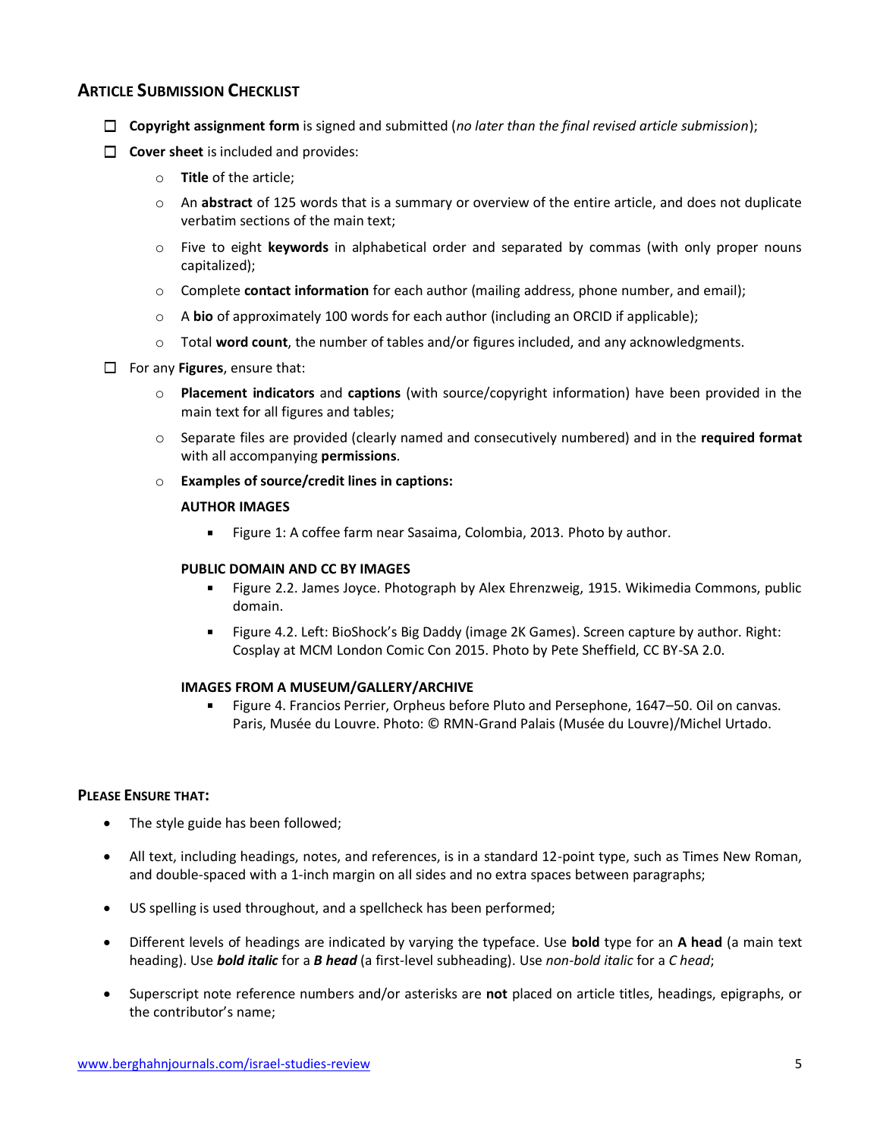## **ARTICLE SUBMISSION CHECKLIST**

- **Copyright assignment form** is signed and submitted (*no later than the final revised article submission*);
- **Cover sheet** is included and provides:
	- o **Title** of the article;
	- o An **abstract** of 125 words that is a summary or overview of the entire article, and does not duplicate verbatim sections of the main text;
	- o Five to eight **keywords** in alphabetical order and separated by commas (with only proper nouns capitalized);
	- o Complete **contact information** for each author (mailing address, phone number, and email);
	- o A **bio** of approximately 100 words for each author (including an ORCID if applicable);
	- o Total **word count**, the number of tables and/or figures included, and any acknowledgments.
- For any **Figures**, ensure that:
	- o **Placement indicators** and **captions** (with source/copyright information) have been provided in the main text for all figures and tables;
	- o Separate files are provided (clearly named and consecutively numbered) and in the **required format** with all accompanying **permissions**.
	- o **Examples of source/credit lines in captions:**

#### **AUTHOR IMAGES**

Figure 1: A coffee farm near Sasaima, Colombia, 2013. Photo by author.  $\mathbf{r}$ 

#### **PUBLIC DOMAIN AND CC BY IMAGES**

- Figure 2.2. James Joyce. Photograph by Alex Ehrenzweig, 1915. Wikimedia Commons, public domain.
- a. Figure 4.2. Left: BioShock's Big Daddy (image 2K Games). Screen capture by author. Right: Cosplay at MCM London Comic Con 2015. Photo by Pete Sheffield, CC BY-SA 2.0.

#### **IMAGES FROM A MUSEUM/GALLERY/ARCHIVE**

Figure 4. Francios Perrier, Orpheus before Pluto and Persephone, 1647–50. Oil on canvas. Paris, Musée du Louvre. Photo: © RMN-Grand Palais (Musée du Louvre)/Michel Urtado.

### **PLEASE ENSURE THAT:**

- The style guide has been followed;
- All text, including headings, notes, and references, is in a standard 12-point type, such as Times New Roman, and double-spaced with a 1-inch margin on all sides and no extra spaces between paragraphs;
- US spelling is used throughout, and a spellcheck has been performed;
- Different levels of headings are indicated by varying the typeface. Use **bold** type for an **A head** (a main text heading). Use *bold italic* for a *B head* (a first-level subheading). Use *non-bold italic* for a *C head*;
- Superscript note reference numbers and/or asterisks are **not** placed on article titles, headings, epigraphs, or the contributor's name;